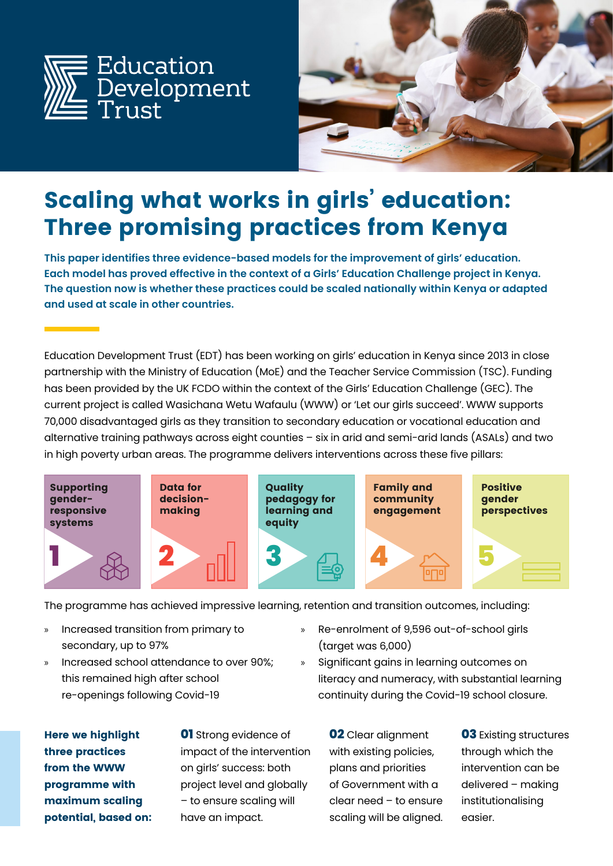



# **Scaling what works in girls' education: Three promising practices from Kenya**

**This paper identifies three evidence-based models for the improvement of girls' education. Each model has proved effective in the context of a Girls' Education Challenge project in Kenya. The question now is whether these practices could be scaled nationally within Kenya or adapted and used at scale in other countries.**

Education Development Trust (EDT) has been working on girls' education in Kenya since 2013 in close partnership with the Ministry of Education (MoE) and the Teacher Service Commission (TSC). Funding has been provided by the UK FCDO within the context of the Girls' Education Challenge (GEC). The current project is called Wasichana Wetu Wafaulu (WWW) or 'Let our girls succeed'. WWW supports 70,000 disadvantaged girls as they transition to secondary education or vocational education and alternative training pathways across eight counties – six in arid and semi-arid lands (ASALs) and two in high poverty urban areas. The programme delivers interventions across these five pillars:



The programme has achieved impressive learning, retention and transition outcomes, including:

- » Increased transition from primary to secondary, up to 97%
- » Increased school attendance to over 90%; this remained high after school re-openings following Covid-19
- » Re-enrolment of 9,596 out-of-school girls (target was 6,000)
- » Significant gains in learning outcomes on literacy and numeracy, with substantial learning continuity during the Covid-19 school closure.

**Here we highlight three practices from the WWW programme with maximum scaling potential, based on:** **01** Strong evidence of impact of the intervention on girls' success: both project level and globally – to ensure scaling will have an impact.

**02** Clear alignment with existing policies, plans and priorities of Government with a clear need – to ensure scaling will be aligned.

**03** Existing structures through which the intervention can be delivered – making institutionalising easier.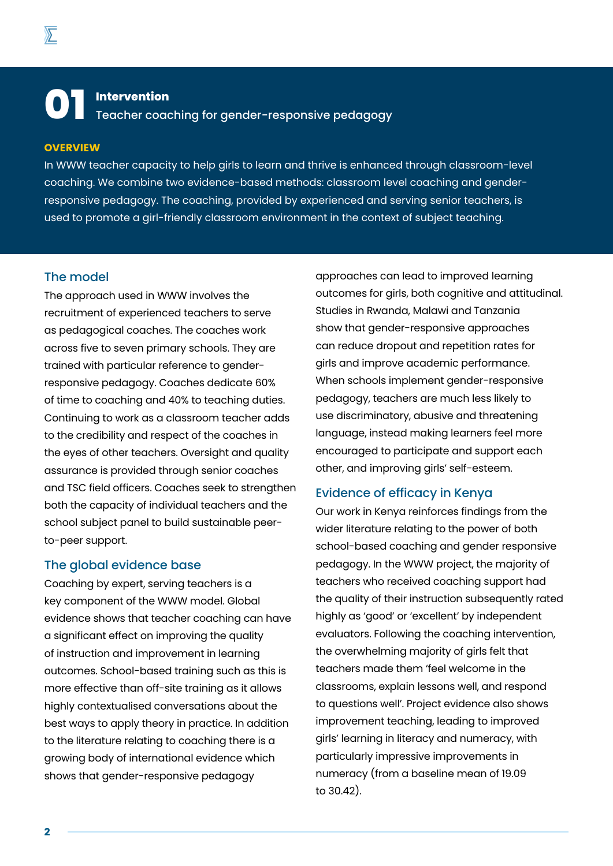**01 Intervention** Teacher coaching for gender-responsive pedagogy

#### **OVERVIEW**

In WWW teacher capacity to help girls to learn and thrive is enhanced through classroom-level coaching. We combine two evidence-based methods: classroom level coaching and genderresponsive pedagogy. The coaching, provided by experienced and serving senior teachers, is used to promote a girl-friendly classroom environment in the context of subject teaching.

### The model

The approach used in WWW involves the recruitment of experienced teachers to serve as pedagogical coaches. The coaches work across five to seven primary schools. They are trained with particular reference to genderresponsive pedagogy. Coaches dedicate 60% of time to coaching and 40% to teaching duties. Continuing to work as a classroom teacher adds to the credibility and respect of the coaches in the eyes of other teachers. Oversight and quality assurance is provided through senior coaches and TSC field officers. Coaches seek to strengthen both the capacity of individual teachers and the school subject panel to build sustainable peerto-peer support.

### The global evidence base

Coaching by expert, serving teachers is a key component of the WWW model. Global evidence shows that teacher coaching can have a significant effect on improving the quality of instruction and improvement in learning outcomes. School-based training such as this is more effective than off-site training as it allows highly contextualised conversations about the best ways to apply theory in practice. In addition to the literature relating to coaching there is a growing body of international evidence which shows that gender-responsive pedagogy

approaches can lead to improved learning outcomes for girls, both cognitive and attitudinal. Studies in Rwanda, Malawi and Tanzania show that gender-responsive approaches can reduce dropout and repetition rates for girls and improve academic performance. When schools implement gender-responsive pedagogy, teachers are much less likely to use discriminatory, abusive and threatening language, instead making learners feel more encouraged to participate and support each other, and improving girls' self-esteem.

### Evidence of efficacy in Kenya

Our work in Kenya reinforces findings from the wider literature relating to the power of both school-based coaching and gender responsive pedagogy. In the WWW project, the majority of teachers who received coaching support had the quality of their instruction subsequently rated highly as 'good' or 'excellent' by independent evaluators. Following the coaching intervention, the overwhelming majority of girls felt that teachers made them 'feel welcome in the classrooms, explain lessons well, and respond to questions well'. Project evidence also shows improvement teaching, leading to improved girls' learning in literacy and numeracy, with particularly impressive improvements in numeracy (from a baseline mean of 19.09 to 30.42).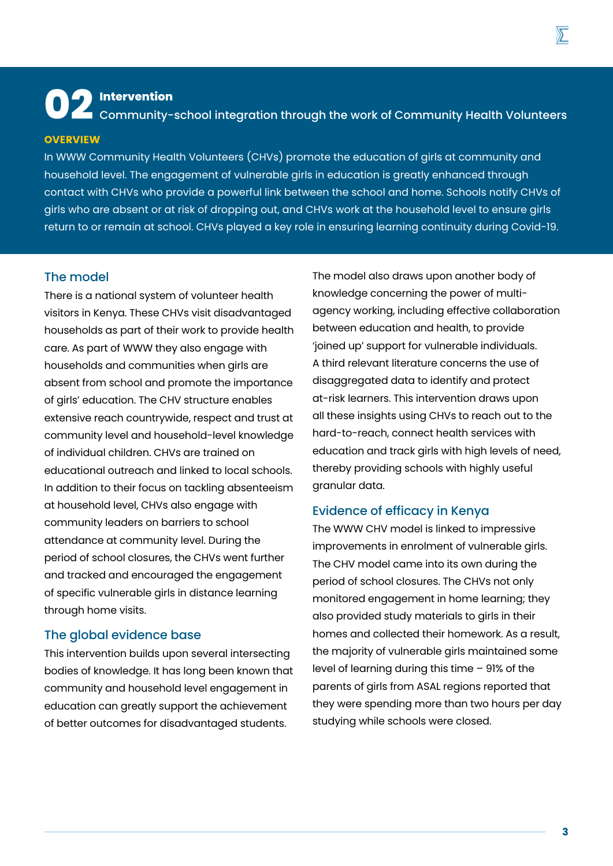**02 Intervention** Community-school integration through the work of Community Health Volunteers

#### **OVERVIEW**

In WWW Community Health Volunteers (CHVs) promote the education of girls at community and household level. The engagement of vulnerable girls in education is greatly enhanced through contact with CHVs who provide a powerful link between the school and home. Schools notify CHVs of girls who are absent or at risk of dropping out, and CHVs work at the household level to ensure girls return to or remain at school. CHVs played a key role in ensuring learning continuity during Covid-19.

### The model

There is a national system of volunteer health visitors in Kenya. These CHVs visit disadvantaged households as part of their work to provide health care. As part of WWW they also engage with households and communities when girls are absent from school and promote the importance of girls' education. The CHV structure enables extensive reach countrywide, respect and trust at community level and household-level knowledge of individual children. CHVs are trained on educational outreach and linked to local schools. In addition to their focus on tackling absenteeism at household level, CHVs also engage with community leaders on barriers to school attendance at community level. During the period of school closures, the CHVs went further and tracked and encouraged the engagement of specific vulnerable girls in distance learning through home visits.

#### The global evidence base

This intervention builds upon several intersecting bodies of knowledge. It has long been known that community and household level engagement in education can greatly support the achievement of better outcomes for disadvantaged students.

The model also draws upon another body of knowledge concerning the power of multiagency working, including effective collaboration between education and health, to provide 'joined up' support for vulnerable individuals. A third relevant literature concerns the use of disaggregated data to identify and protect at-risk learners. This intervention draws upon all these insights using CHVs to reach out to the hard-to-reach, connect health services with education and track girls with high levels of need, thereby providing schools with highly useful granular data.

#### Evidence of efficacy in Kenya

The WWW CHV model is linked to impressive improvements in enrolment of vulnerable girls. The CHV model came into its own during the period of school closures. The CHVs not only monitored engagement in home learning; they also provided study materials to girls in their homes and collected their homework. As a result, the majority of vulnerable girls maintained some level of learning during this time – 91% of the parents of girls from ASAL regions reported that they were spending more than two hours per day studying while schools were closed.